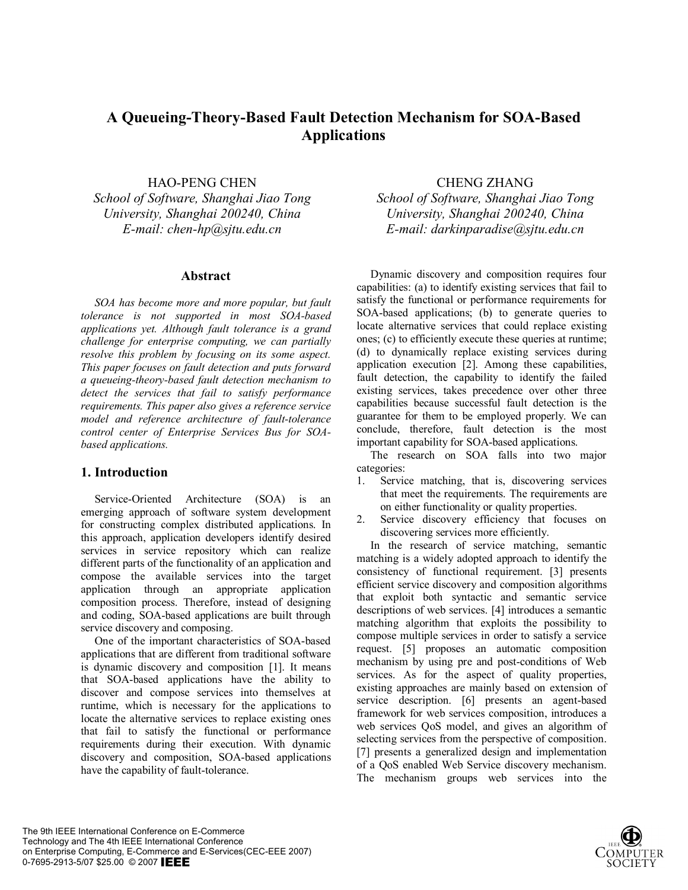# **A Queueing-Theory-Based Fault Detection Mechanism for SOA-Based Applications**

HAO-PENG CHEN

*School of Software, Shanghai Jiao Tong University, Shanghai 200240, China E-mail: chen-hp@sjtu.edu.cn* 

#### **Abstract**

*SOA has become more and more popular, but fault tolerance is not supported in most SOA-based applications yet. Although fault tolerance is a grand challenge for enterprise computing, we can partially resolve this problem by focusing on its some aspect. This paper focuses on fault detection and puts forward a queueing-theory-based fault detection mechanism to detect the services that fail to satisfy performance requirements. This paper also gives a reference service model and reference architecture of fault-tolerance control center of Enterprise Services Bus for SOAbased applications.* 

### **1. Introduction**

Service-Oriented Architecture (SOA) is an emerging approach of software system development for constructing complex distributed applications. In this approach, application developers identify desired services in service repository which can realize different parts of the functionality of an application and compose the available services into the target application through an appropriate application composition process. Therefore, instead of designing and coding, SOA-based applications are built through service discovery and composing.

One of the important characteristics of SOA-based applications that are different from traditional software is dynamic discovery and composition [1]. It means that SOA-based applications have the ability to discover and compose services into themselves at runtime, which is necessary for the applications to locate the alternative services to replace existing ones that fail to satisfy the functional or performance requirements during their execution. With dynamic discovery and composition, SOA-based applications have the capability of fault-tolerance.

CHENG ZHANG

*School of Software, Shanghai Jiao Tong University, Shanghai 200240, China E-mail: darkinparadise@sjtu.edu.cn* 

Dynamic discovery and composition requires four capabilities: (a) to identify existing services that fail to satisfy the functional or performance requirements for SOA-based applications; (b) to generate queries to locate alternative services that could replace existing ones; (c) to efficiently execute these queries at runtime; (d) to dynamically replace existing services during application execution [2]. Among these capabilities, fault detection, the capability to identify the failed existing services, takes precedence over other three capabilities because successful fault detection is the guarantee for them to be employed properly. We can conclude, therefore, fault detection is the most important capability for SOA-based applications.

The research on SOA falls into two major categories:

- 1. Service matching, that is, discovering services that meet the requirements. The requirements are on either functionality or quality properties.
- 2. Service discovery efficiency that focuses on discovering services more efficiently.

In the research of service matching, semantic matching is a widely adopted approach to identify the consistency of functional requirement. [3] presents efficient service discovery and composition algorithms that exploit both syntactic and semantic service descriptions of web services. [4] introduces a semantic matching algorithm that exploits the possibility to compose multiple services in order to satisfy a service request. [5] proposes an automatic composition mechanism by using pre and post-conditions of Web services. As for the aspect of quality properties, existing approaches are mainly based on extension of service description. [6] presents an agent-based framework for web services composition, introduces a web services QoS model, and gives an algorithm of selecting services from the perspective of composition. [7] presents a generalized design and implementation of a QoS enabled Web Service discovery mechanism. The mechanism groups web services into the

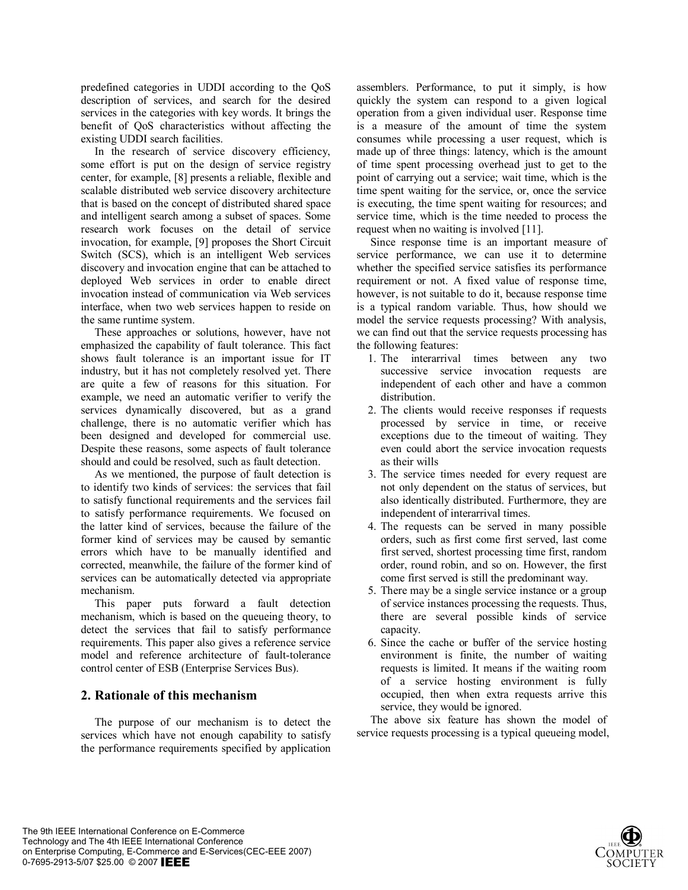predefined categories in UDDI according to the QoS description of services, and search for the desired services in the categories with key words. It brings the benefit of QoS characteristics without affecting the existing UDDI search facilities.

In the research of service discovery efficiency, some effort is put on the design of service registry center, for example, [8] presents a reliable, flexible and scalable distributed web service discovery architecture that is based on the concept of distributed shared space and intelligent search among a subset of spaces. Some research work focuses on the detail of service invocation, for example, [9] proposes the Short Circuit Switch (SCS), which is an intelligent Web services discovery and invocation engine that can be attached to deployed Web services in order to enable direct invocation instead of communication via Web services interface, when two web services happen to reside on the same runtime system.

These approaches or solutions, however, have not emphasized the capability of fault tolerance. This fact shows fault tolerance is an important issue for IT industry, but it has not completely resolved yet. There are quite a few of reasons for this situation. For example, we need an automatic verifier to verify the services dynamically discovered, but as a grand challenge, there is no automatic verifier which has been designed and developed for commercial use. Despite these reasons, some aspects of fault tolerance should and could be resolved, such as fault detection.

As we mentioned, the purpose of fault detection is to identify two kinds of services: the services that fail to satisfy functional requirements and the services fail to satisfy performance requirements. We focused on the latter kind of services, because the failure of the former kind of services may be caused by semantic errors which have to be manually identified and corrected, meanwhile, the failure of the former kind of services can be automatically detected via appropriate mechanism.

This paper puts forward a fault detection mechanism, which is based on the queueing theory, to detect the services that fail to satisfy performance requirements. This paper also gives a reference service model and reference architecture of fault-tolerance control center of ESB (Enterprise Services Bus).

# **2. Rationale of this mechanism**

The purpose of our mechanism is to detect the services which have not enough capability to satisfy the performance requirements specified by application

assemblers. Performance, to put it simply, is how quickly the system can respond to a given logical operation from a given individual user. Response time is a measure of the amount of time the system consumes while processing a user request, which is made up of three things: latency, which is the amount of time spent processing overhead just to get to the point of carrying out a service; wait time, which is the time spent waiting for the service, or, once the service is executing, the time spent waiting for resources; and service time, which is the time needed to process the request when no waiting is involved [11].

Since response time is an important measure of service performance, we can use it to determine whether the specified service satisfies its performance requirement or not. A fixed value of response time, however, is not suitable to do it, because response time is a typical random variable. Thus, how should we model the service requests processing? With analysis, we can find out that the service requests processing has the following features:

- 1. The interarrival times between any two successive service invocation requests are independent of each other and have a common distribution.
- 2. The clients would receive responses if requests processed by service in time, or receive exceptions due to the timeout of waiting. They even could abort the service invocation requests as their wills
- 3. The service times needed for every request are not only dependent on the status of services, but also identically distributed. Furthermore, they are independent of interarrival times.
- 4. The requests can be served in many possible orders, such as first come first served, last come first served, shortest processing time first, random order, round robin, and so on. However, the first come first served is still the predominant way.
- 5. There may be a single service instance or a group of service instances processing the requests. Thus, there are several possible kinds of service capacity.
- 6. Since the cache or buffer of the service hosting environment is finite, the number of waiting requests is limited. It means if the waiting room of a service hosting environment is fully occupied, then when extra requests arrive this service, they would be ignored.

The above six feature has shown the model of service requests processing is a typical queueing model,

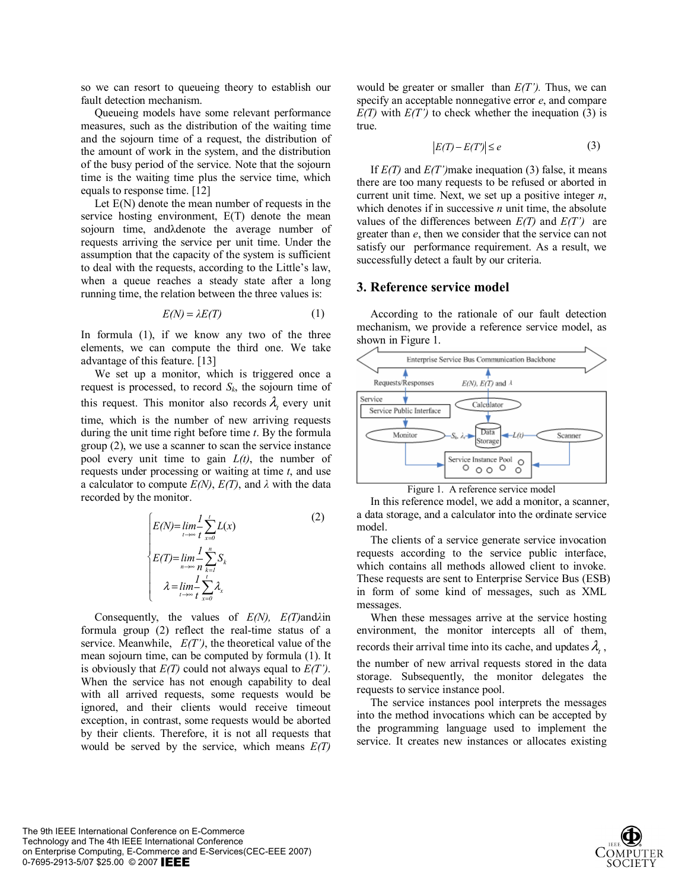so we can resort to queueing theory to establish our fault detection mechanism.

Queueing models have some relevant performance measures, such as the distribution of the waiting time and the sojourn time of a request, the distribution of the amount of work in the system, and the distribution of the busy period of the service. Note that the sojourn time is the waiting time plus the service time, which equals to response time. [12]

Let E(N) denote the mean number of requests in the service hosting environment, E(T) denote the mean sojourn time, andλdenote the average number of requests arriving the service per unit time. Under the assumption that the capacity of the system is sufficient to deal with the requests, according to the Little's law, when a queue reaches a steady state after a long running time, the relation between the three values is:

$$
E(N) = \lambda E(T) \tag{1}
$$

In formula (1), if we know any two of the three elements, we can compute the third one. We take advantage of this feature. [13]

We set up a monitor, which is triggered once a request is processed, to record  $S_k$ , the sojourn time of this request. This monitor also records  $\lambda_t$  every unit time, which is the number of new arriving requests during the unit time right before time *t*. By the formula group (2), we use a scanner to scan the service instance pool every unit time to gain *L(t)*, the number of requests under processing or waiting at time *t*, and use a calculator to compute  $E(N)$ ,  $E(T)$ , and  $\lambda$  with the data recorded by the monitor.

$$
\begin{cases}\nE(N) = \lim_{t \to \infty} \frac{1}{t} \sum_{x=0}^{t} L(x) \\
E(T) = \lim_{n \to \infty} \frac{1}{n} \sum_{k=1}^{n} S_k \\
\lambda = \lim_{t \to \infty} \frac{1}{t} \sum_{x=0}^{t} \lambda_x\n\end{cases} (2)
$$

Consequently, the values of *E(N), E(T)*and*λ*in formula group (2) reflect the real-time status of a service. Meanwhile, *E(T')*, the theoretical value of the mean sojourn time, can be computed by formula (1). It is obviously that *E(T)* could not always equal to *E(T')*. When the service has not enough capability to deal with all arrived requests, some requests would be ignored, and their clients would receive timeout exception, in contrast, some requests would be aborted by their clients. Therefore, it is not all requests that would be served by the service, which means *E(T)* 

would be greater or smaller than *E(T').* Thus, we can specify an acceptable nonnegative error *e*, and compare  $E(T)$  with  $E(T')$  to check whether the inequation (3) is true.

$$
|E(T) - E(T')| \le e \tag{3}
$$

If *E(T)* and *E(T')*make inequation (3) false, it means there are too many requests to be refused or aborted in current unit time. Next, we set up a positive integer *n*, which denotes if in successive *n* unit time, the absolute values of the differences between *E(T)* and *E(T')* are greater than *e*, then we consider that the service can not satisfy our performance requirement. As a result, we successfully detect a fault by our criteria.

#### **3. Reference service model**

According to the rationale of our fault detection mechanism, we provide a reference service model, as shown in Figure 1.



Figure 1. A reference service model

In this reference model, we add a monitor, a scanner, a data storage, and a calculator into the ordinate service model.

The clients of a service generate service invocation requests according to the service public interface, which contains all methods allowed client to invoke. These requests are sent to Enterprise Service Bus (ESB) in form of some kind of messages, such as XML messages.

When these messages arrive at the service hosting environment, the monitor intercepts all of them, records their arrival time into its cache, and updates  $\lambda$ , the number of new arrival requests stored in the data storage. Subsequently, the monitor delegates the requests to service instance pool.

The service instances pool interprets the messages into the method invocations which can be accepted by the programming language used to implement the service. It creates new instances or allocates existing

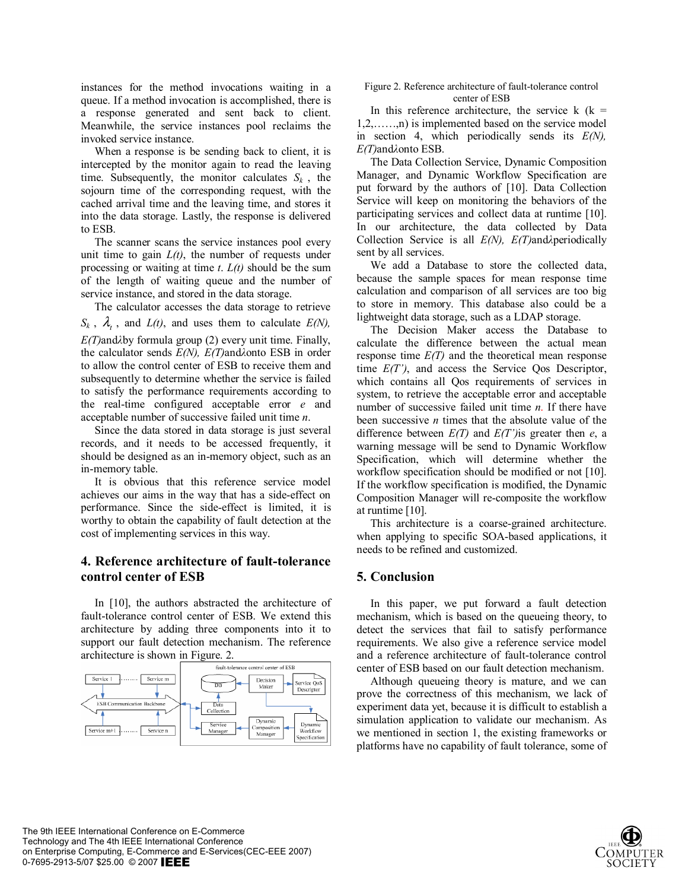instances for the method invocations waiting in a queue. If a method invocation is accomplished, there is a response generated and sent back to client. Meanwhile, the service instances pool reclaims the invoked service instance.

When a response is be sending back to client, it is intercepted by the monitor again to read the leaving time. Subsequently, the monitor calculates  $S_k$ , the sojourn time of the corresponding request, with the cached arrival time and the leaving time, and stores it into the data storage. Lastly, the response is delivered to ESB.

The scanner scans the service instances pool every unit time to gain  $L(t)$ , the number of requests under processing or waiting at time *t*. *L(t)* should be the sum of the length of waiting queue and the number of service instance, and stored in the data storage.

The calculator accesses the data storage to retrieve

 $S_k$ ,  $\lambda$ <sub>t</sub>, and  $L(t)$ , and uses them to calculate  $E(N)$ , *E(T)*and*λ*by formula group (2) every unit time. Finally, the calculator sends *E(N), E(T)*and*λ*onto ESB in order to allow the control center of ESB to receive them and

subsequently to determine whether the service is failed to satisfy the performance requirements according to the real-time configured acceptable error *e* and acceptable number of successive failed unit time *n*.

Since the data stored in data storage is just several records, and it needs to be accessed frequently, it should be designed as an in-memory object, such as an in-memory table.

It is obvious that this reference service model achieves our aims in the way that has a side-effect on performance. Since the side-effect is limited, it is worthy to obtain the capability of fault detection at the cost of implementing services in this way.

# **4. Reference architecture of fault-tolerance control center of ESB**

In [10], the authors abstracted the architecture of fault-tolerance control center of ESB. We extend this architecture by adding three components into it to support our fault detection mechanism. The reference architecture is shown in Figure. 2.



#### Figure 2. Reference architecture of fault-tolerance control center of ESB

In this reference architecture, the service  $k$  ( $k =$ 1,2,……,n) is implemented based on the service model in section 4, which periodically sends its *E(N), E(T)*and*λ*onto ESB.

The Data Collection Service, Dynamic Composition Manager, and Dynamic Workflow Specification are put forward by the authors of [10]. Data Collection Service will keep on monitoring the behaviors of the participating services and collect data at runtime [10]. In our architecture, the data collected by Data Collection Service is all *E(N), E(T)*and*λ*periodically sent by all services.

We add a Database to store the collected data, because the sample spaces for mean response time calculation and comparison of all services are too big to store in memory. This database also could be a lightweight data storage, such as a LDAP storage.

The Decision Maker access the Database to calculate the difference between the actual mean response time *E(T)* and the theoretical mean response time *E(T')*, and access the Service Qos Descriptor, which contains all Qos requirements of services in system, to retrieve the acceptable error and acceptable number of successive failed unit time *n*. If there have been successive *n* times that the absolute value of the difference between *E(T)* and *E(T')*is greater then *e*, a warning message will be send to Dynamic Workflow Specification, which will determine whether the workflow specification should be modified or not [10]. If the workflow specification is modified, the Dynamic Composition Manager will re-composite the workflow at runtime [10].

This architecture is a coarse-grained architecture. when applying to specific SOA-based applications, it needs to be refined and customized.

# **5. Conclusion**

In this paper, we put forward a fault detection mechanism, which is based on the queueing theory, to detect the services that fail to satisfy performance requirements. We also give a reference service model and a reference architecture of fault-tolerance control center of ESB based on our fault detection mechanism.

Although queueing theory is mature, and we can prove the correctness of this mechanism, we lack of experiment data yet, because it is difficult to establish a simulation application to validate our mechanism. As we mentioned in section 1, the existing frameworks or platforms have no capability of fault tolerance, some of